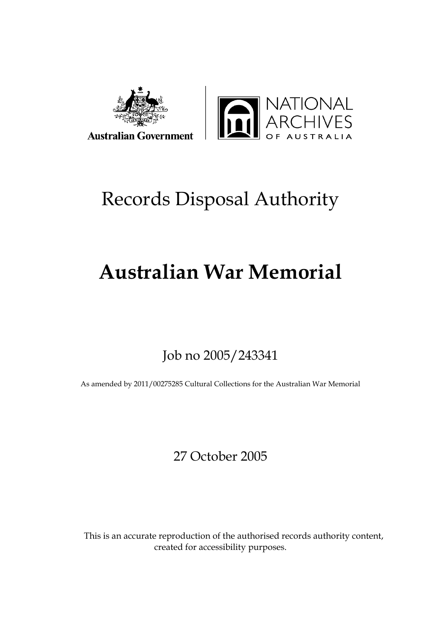



# Records Disposal Authority

# **Australian War Memorial**

# Job no 2005/243341

As amended by 2011/00275285 Cultural Collections for the Australian War Memorial

27 October 2005

This is an accurate reproduction of the authorised records authority content, created for accessibility purposes.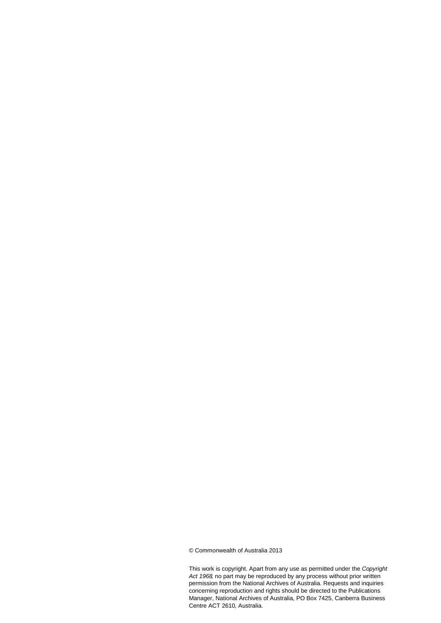© Commonwealth of Australia 2013

This work is copyright. Apart from any use as permitted under the *Copyright Act 1968,* no part may be reproduced by any process without prior written permission from the National Archives of Australia. Requests and inquiries concerning reproduction and rights should be directed to the Publications Manager, National Archives of Australia, PO Box 7425, Canberra Business Centre ACT 2610, Australia.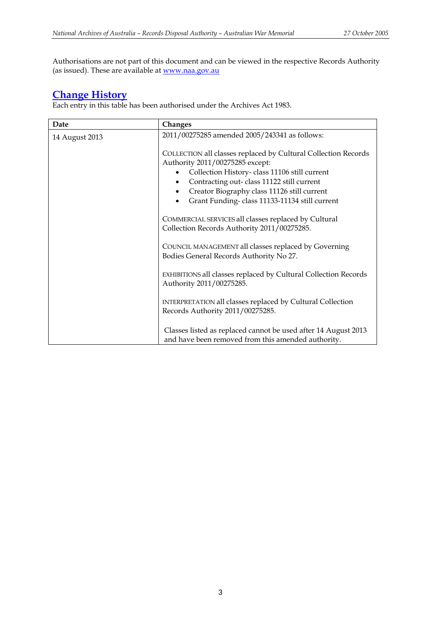Authorisations are not part of this document and can be viewed in the respective Records Authority (as issued). These are available at [www.naa.gov.au](http://www.naa.gov.au/)

## **[Change History](#page-3-0)**

Each entry in this table has been authorised under the Archives Act 1983.

| Date           | Changes                                                                                                                                                                                                                                                                                        |  |
|----------------|------------------------------------------------------------------------------------------------------------------------------------------------------------------------------------------------------------------------------------------------------------------------------------------------|--|
| 14 August 2013 | 2011/00275285 amended 2005/243341 as follows:                                                                                                                                                                                                                                                  |  |
|                | COLLECTION all classes replaced by Cultural Collection Records<br>Authority 2011/00275285 except:<br>Collection History-class 11106 still current<br>Contracting out-class 11122 still current<br>Creator Biography class 11126 still current<br>Grant Funding-class 11133-11134 still current |  |
|                | COMMERCIAL SERVICES all classes replaced by Cultural<br>Collection Records Authority 2011/00275285.                                                                                                                                                                                            |  |
|                | COUNCIL MANAGEMENT all classes replaced by Governing<br>Bodies General Records Authority No 27.                                                                                                                                                                                                |  |
|                | EXHIBITIONS all classes replaced by Cultural Collection Records<br>Authority 2011/00275285.                                                                                                                                                                                                    |  |
|                | INTERPRETATION all classes replaced by Cultural Collection<br>Records Authority 2011/00275285.                                                                                                                                                                                                 |  |
|                | Classes listed as replaced cannot be used after 14 August 2013<br>and have been removed from this amended authority.                                                                                                                                                                           |  |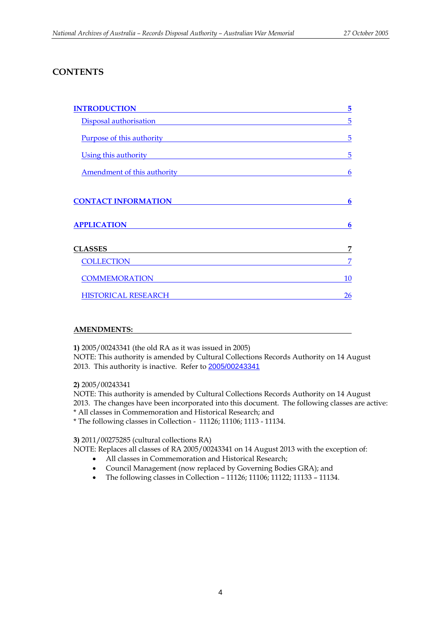## **CONTENTS**

| <b>INTRODUCTION</b>         | 5  |
|-----------------------------|----|
| Disposal authorisation      | 5  |
| Purpose of this authority   | 5  |
| Using this authority        | 5  |
| Amendment of this authority | 6  |
| <b>CONTACT INFORMATION</b>  | 6  |
| <b>APPLICATION</b>          | 6  |
| <b>CLASSES</b>              | 7  |
| <b>COLLECTION</b>           | 7  |
| <b>COMMEMORATION</b>        | 10 |
| <b>HISTORICAL RESEARCH</b>  | 26 |

## <span id="page-3-0"></span>**AMENDMENTS:**

**1)** 2005/00243341 (the old RA as it was issued in 2005)

NOTE: This authority is amended by Cultural Collections Records Authority on 14 August 2013. This authority is inactive. Refer to [2005/00243341](http://www.naa.gov.au/naaresources/ra/2005-00243341.pdf)

## **2)** 2005/00243341

NOTE: This authority is amended by Cultural Collections Records Authority on 14 August 2013. The changes have been incorporated into this document. The following classes are active: \* All classes in Commemoration and Historical Research; and \* The following classes in Collection - 11126; 11106; 1113 - 11134.

**3)** 2011/00275285 (cultural collections RA)

NOTE: Replaces all classes of RA 2005/00243341 on 14 August 2013 with the exception of:

- All classes in Commemoration and Historical Research;
- Council Management (now replaced by Governing Bodies GRA); and
- The following classes in Collection 11126; 11106; 11122; 11133 11134.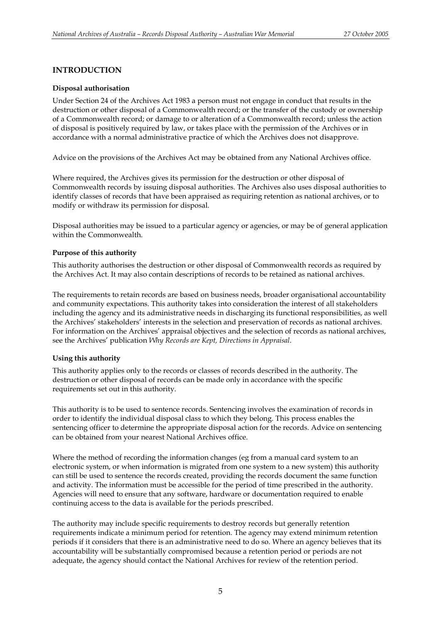## <span id="page-4-0"></span>**INTRODUCTION**

### <span id="page-4-1"></span>**Disposal authorisation**

Under Section 24 of the Archives Act 1983 a person must not engage in conduct that results in the destruction or other disposal of a Commonwealth record; or the transfer of the custody or ownership of a Commonwealth record; or damage to or alteration of a Commonwealth record; unless the action of disposal is positively required by law, or takes place with the permission of the Archives or in accordance with a normal administrative practice of which the Archives does not disapprove.

Advice on the provisions of the Archives Act may be obtained from any National Archives office.

Where required, the Archives gives its permission for the destruction or other disposal of Commonwealth records by issuing disposal authorities. The Archives also uses disposal authorities to identify classes of records that have been appraised as requiring retention as national archives, or to modify or withdraw its permission for disposal.

Disposal authorities may be issued to a particular agency or agencies, or may be of general application within the Commonwealth.

### <span id="page-4-2"></span>**Purpose of this authority**

This authority authorises the destruction or other disposal of Commonwealth records as required by the Archives Act. It may also contain descriptions of records to be retained as national archives.

The requirements to retain records are based on business needs, broader organisational accountability and community expectations. This authority takes into consideration the interest of all stakeholders including the agency and its administrative needs in discharging its functional responsibilities, as well the Archives' stakeholders' interests in the selection and preservation of records as national archives. For information on the Archives' appraisal objectives and the selection of records as national archives, see the Archives' publication *Why Records are Kept, Directions in Appraisal*.

### <span id="page-4-3"></span>**Using this authority**

This authority applies only to the records or classes of records described in the authority. The destruction or other disposal of records can be made only in accordance with the specific requirements set out in this authority.

This authority is to be used to sentence records. Sentencing involves the examination of records in order to identify the individual disposal class to which they belong. This process enables the sentencing officer to determine the appropriate disposal action for the records. Advice on sentencing can be obtained from your nearest National Archives office.

Where the method of recording the information changes (eg from a manual card system to an electronic system, or when information is migrated from one system to a new system) this authority can still be used to sentence the records created, providing the records document the same function and activity. The information must be accessible for the period of time prescribed in the authority. Agencies will need to ensure that any software, hardware or documentation required to enable continuing access to the data is available for the periods prescribed.

The authority may include specific requirements to destroy records but generally retention requirements indicate a minimum period for retention. The agency may extend minimum retention periods if it considers that there is an administrative need to do so. Where an agency believes that its accountability will be substantially compromised because a retention period or periods are not adequate, the agency should contact the National Archives for review of the retention period.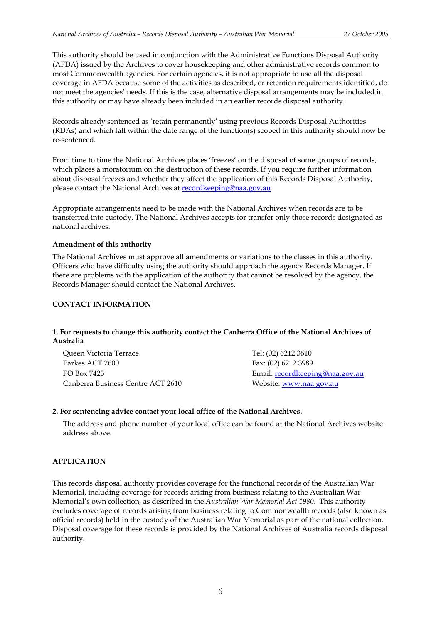This authority should be used in conjunction with the Administrative Functions Disposal Authority (AFDA) issued by the Archives to cover housekeeping and other administrative records common to most Commonwealth agencies. For certain agencies, it is not appropriate to use all the disposal coverage in AFDA because some of the activities as described, or retention requirements identified, do not meet the agencies' needs. If this is the case, alternative disposal arrangements may be included in this authority or may have already been included in an earlier records disposal authority.

Records already sentenced as 'retain permanently' using previous Records Disposal Authorities (RDAs) and which fall within the date range of the function(s) scoped in this authority should now be re-sentenced.

From time to time the National Archives places 'freezes' on the disposal of some groups of records, which places a moratorium on the destruction of these records. If you require further information about disposal freezes and whether they affect the application of this Records Disposal Authority, please contact the National Archives at **recordkeeping@naa.gov.au** 

Appropriate arrangements need to be made with the National Archives when records are to be transferred into custody. The National Archives accepts for transfer only those records designated as national archives.

### **Amendment of this authority**

The National Archives must approve all amendments or variations to the classes in this authority. Officers who have difficulty using the authority should approach the agency Records Manager. If there are problems with the application of the authority that cannot be resolved by the agency, the Records Manager should contact the National Archives.

### <span id="page-5-0"></span>**CONTACT INFORMATION**

## **1. For requests to change this authority contact the Canberra Office of the National Archives of Australia**

| Queen Victoria Terrace            | Tel: (02) 6212 3610             |
|-----------------------------------|---------------------------------|
| Parkes ACT 2600                   | Fax: (02) 6212 3989             |
| PO Box 7425                       | Email: recordkeeping@naa.gov.au |
| Canberra Business Centre ACT 2610 | Website: www.naa.gov.au         |

### **2. For sentencing advice contact your local office of the National Archives.**

The address and phone number of your local office can be found at the National Archives website address above.

## <span id="page-5-1"></span>**APPLICATION**

This records disposal authority provides coverage for the functional records of the Australian War Memorial, including coverage for records arising from business relating to the Australian War Memorial's own collection, as described in the *Australian War Memorial Act 1980*. This authority excludes coverage of records arising from business relating to Commonwealth records (also known as official records) held in the custody of the Australian War Memorial as part of the national collection. Disposal coverage for these records is provided by the National Archives of Australia records disposal authority.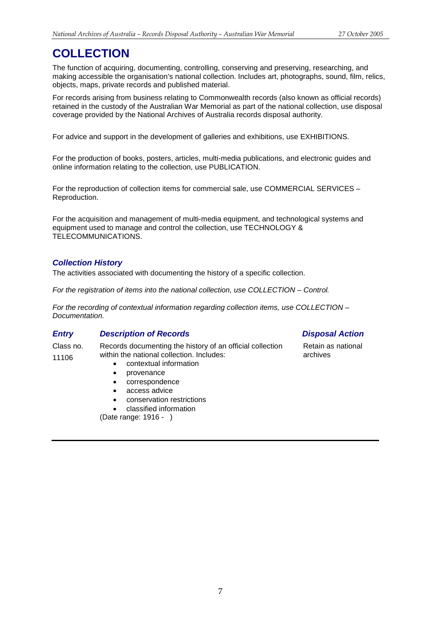## <span id="page-6-0"></span>**COLLECTION**

The function of acquiring, documenting, controlling, conserving and preserving, researching, and making accessible the organisation's national collection. Includes art, photographs, sound, film, relics, objects, maps, private records and published material.

For records arising from business relating to Commonwealth records (also known as official records) retained in the custody of the Australian War Memorial as part of the national collection, use disposal coverage provided by the National Archives of Australia records disposal authority.

For advice and support in the development of galleries and exhibitions, use EXHIBITIONS.

For the production of books, posters, articles, multi-media publications, and electronic guides and online information relating to the collection, use PUBLICATION.

For the reproduction of collection items for commercial sale, use COMMERCIAL SERVICES – Reproduction.

For the acquisition and management of multi-media equipment, and technological systems and equipment used to manage and control the collection, use TECHNOLOGY & TELECOMMUNICATIONS.

## *Collection History*

The activities associated with documenting the history of a specific collection.

*For the registration of items into the national collection, use COLLECTION – Control.*

*For the recording of contextual information regarding collection items, use COLLECTION – Documentation.*

## *Entry Description of Records Disposal Action*

Class no. 11106 Records documenting the history of an official collection within the national collection. Includes:

- contextual information
- provenance
- correspondence
- access advice
- conservation restrictions
- classified information

(Date range: 1916 - )

Retain as national archives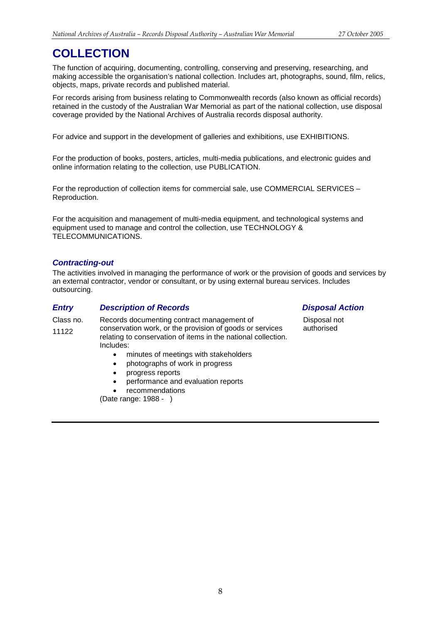## **COLLECTION**

The function of acquiring, documenting, controlling, conserving and preserving, researching, and making accessible the organisation's national collection. Includes art, photographs, sound, film, relics, objects, maps, private records and published material.

For records arising from business relating to Commonwealth records (also known as official records) retained in the custody of the Australian War Memorial as part of the national collection, use disposal coverage provided by the National Archives of Australia records disposal authority.

For advice and support in the development of galleries and exhibitions, use EXHIBITIONS.

For the production of books, posters, articles, multi-media publications, and electronic guides and online information relating to the collection, use PUBLICATION.

For the reproduction of collection items for commercial sale, use COMMERCIAL SERVICES – Reproduction.

For the acquisition and management of multi-media equipment, and technological systems and equipment used to manage and control the collection, use TECHNOLOGY & TELECOMMUNICATIONS.

## *Contracting-out*

The activities involved in managing the performance of work or the provision of goods and services by an external contractor, vendor or consultant, or by using external bureau services. Includes outsourcing.

### *Entry Description of Records Disposal Action*

Class no. 11122 Records documenting contract management of conservation work, or the provision of goods or services relating to conservation of items in the national collection. Includes:

- minutes of meetings with stakeholders
- photographs of work in progress
- progress reports
- performance and evaluation reports
- **recommendations**

(Date range: 1988 - )

Disposal not authorised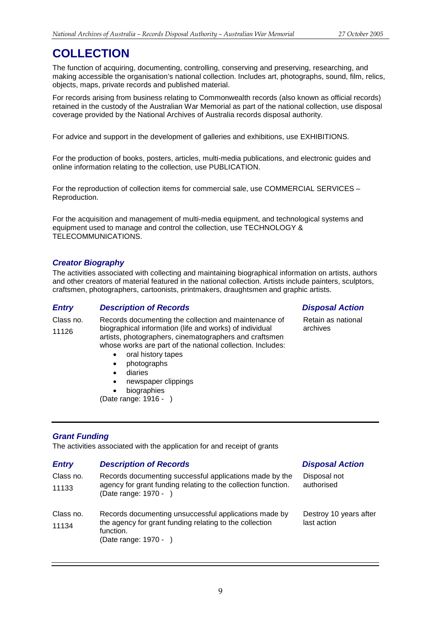## **COLLECTION**

The function of acquiring, documenting, controlling, conserving and preserving, researching, and making accessible the organisation's national collection. Includes art, photographs, sound, film, relics, objects, maps, private records and published material.

For records arising from business relating to Commonwealth records (also known as official records) retained in the custody of the Australian War Memorial as part of the national collection, use disposal coverage provided by the National Archives of Australia records disposal authority.

For advice and support in the development of galleries and exhibitions, use EXHIBITIONS.

For the production of books, posters, articles, multi-media publications, and electronic guides and online information relating to the collection, use PUBLICATION.

For the reproduction of collection items for commercial sale, use COMMERCIAL SERVICES – Reproduction.

For the acquisition and management of multi-media equipment, and technological systems and equipment used to manage and control the collection, use TECHNOLOGY & TELECOMMUNICATIONS.

## *Creator Biography*

The activities associated with collecting and maintaining biographical information on artists, authors and other creators of material featured in the national collection. Artists include painters, sculptors, craftsmen, photographers, cartoonists, printmakers, draughtsmen and graphic artists.

## *Entry Description of Records Disposal Action*

Class no. 11126 Records documenting the collection and maintenance of biographical information (life and works) of individual artists, photographers, cinematographers and craftsmen whose works are part of the national collection. Includes:

- oral history tapes
- photographs
- diaries
- newspaper clippings
- **biographies**

(Date range: 1916 - )

Retain as national archives

## *Grant Funding*

The activities associated with the application for and receipt of grants

| <b>Entry</b>       | <b>Description of Records</b>                                                                                                                          | <b>Disposal Action</b>                |
|--------------------|--------------------------------------------------------------------------------------------------------------------------------------------------------|---------------------------------------|
| Class no.<br>11133 | Records documenting successful applications made by the<br>agency for grant funding relating to the collection function.<br>(Date range: 1970 - )      | Disposal not<br>authorised            |
| Class no.<br>11134 | Records documenting unsuccessful applications made by<br>the agency for grant funding relating to the collection<br>function.<br>(Date range: 1970 - ) | Destroy 10 years after<br>last action |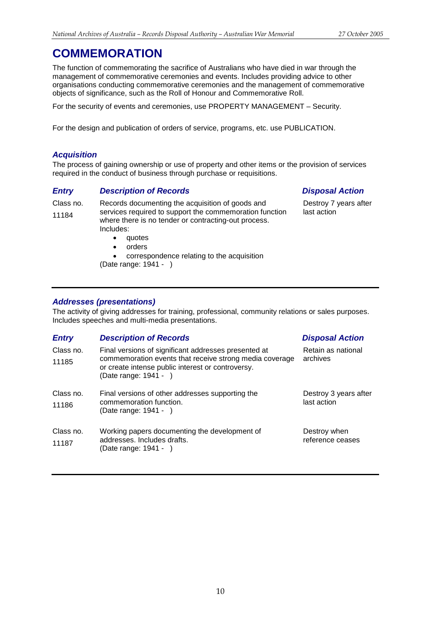<span id="page-9-0"></span>The function of commemorating the sacrifice of Australians who have died in war through the management of commemorative ceremonies and events. Includes providing advice to other organisations conducting commemorative ceremonies and the management of commemorative objects of significance, such as the Roll of Honour and Commemorative Roll.

For the security of events and ceremonies, use PROPERTY MANAGEMENT – Security.

For the design and publication of orders of service, programs, etc. use PUBLICATION.

## *Acquisition*

The process of gaining ownership or use of property and other items or the provision of services required in the conduct of business through purchase or requisitions.

## *Entry Description of Records Disposal Action*

Class no. 11184

Records documenting the acquisition of goods and services required to support the commemoration function where there is no tender or contracting-out process. Includes:

- 
- quotes **orders**

• correspondence relating to the acquisition (Date range: 1941 - )

Destroy 7 years after last action

## *Addresses (presentations)*

The activity of giving addresses for training, professional, community relations or sales purposes. Includes speeches and multi-media presentations.

| <b>Entry</b>       | <b>Description of Records</b>                                                                                                                                                                 | <b>Disposal Action</b>               |
|--------------------|-----------------------------------------------------------------------------------------------------------------------------------------------------------------------------------------------|--------------------------------------|
| Class no.<br>11185 | Final versions of significant addresses presented at<br>commemoration events that receive strong media coverage<br>or create intense public interest or controversy.<br>(Date range: 1941 - ) | Retain as national<br>archives       |
| Class no.<br>11186 | Final versions of other addresses supporting the<br>commemoration function.<br>(Date range: 1941 - )                                                                                          | Destroy 3 years after<br>last action |
| Class no.<br>11187 | Working papers documenting the development of<br>addresses. Includes drafts.<br>(Date range: 1941 - )                                                                                         | Destroy when<br>reference ceases     |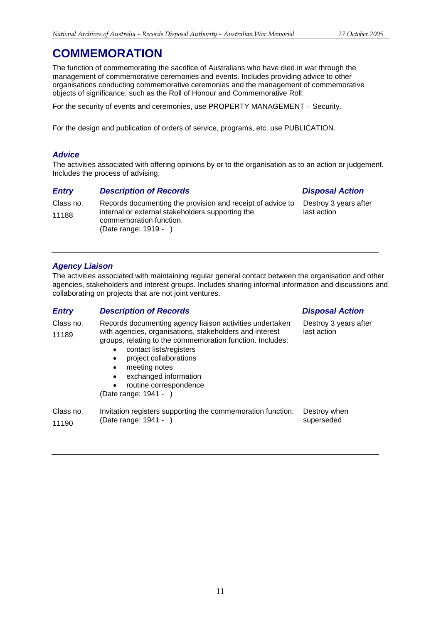The function of commemorating the sacrifice of Australians who have died in war through the management of commemorative ceremonies and events. Includes providing advice to other organisations conducting commemorative ceremonies and the management of commemorative objects of significance, such as the Roll of Honour and Commemorative Roll.

For the security of events and ceremonies, use PROPERTY MANAGEMENT – Security.

For the design and publication of orders of service, programs, etc. use PUBLICATION.

## *Advice*

The activities associated with offering opinions by or to the organisation as to an action or judgement. Includes the process of advising.

## *Entry Description of Records Disposal Action*

Class no. 11188 Records documenting the provision and receipt of advice to internal or external stakeholders supporting the commemoration function. (Date range: 1919 - ) Destroy 3 years after last action

## *Agency Liaison*

The activities associated with maintaining regular general contact between the organisation and other agencies, stakeholders and interest groups. Includes sharing informal information and discussions and collaborating on projects that are not joint ventures.

## *Entry Description of Records Disposal Action*

| Class no.<br>11189 | Records documenting agency liaison activities undertaken<br>with agencies, organisations, stakeholders and interest<br>groups, relating to the commemoration function. Includes:<br>contact lists/registers<br>project collaborations<br>$\bullet$<br>meeting notes<br>$\bullet$<br>exchanged information<br>$\bullet$<br>routine correspondence<br>$\bullet$<br>(Date range: 1941 - ) | Destroy 3 years after<br>last action |
|--------------------|----------------------------------------------------------------------------------------------------------------------------------------------------------------------------------------------------------------------------------------------------------------------------------------------------------------------------------------------------------------------------------------|--------------------------------------|
|                    |                                                                                                                                                                                                                                                                                                                                                                                        |                                      |

| Class no. | Invitation registers supporting the commemoration function. | Destroy when |
|-----------|-------------------------------------------------------------|--------------|
| 11190     | (Date range: 1941 -                                         | superseded   |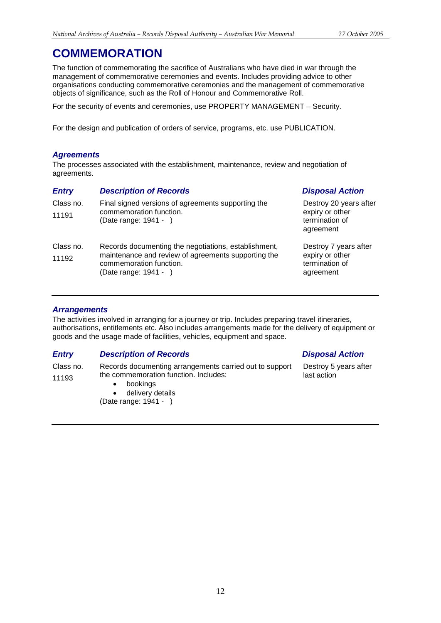The function of commemorating the sacrifice of Australians who have died in war through the management of commemorative ceremonies and events. Includes providing advice to other organisations conducting commemorative ceremonies and the management of commemorative objects of significance, such as the Roll of Honour and Commemorative Roll.

For the security of events and ceremonies, use PROPERTY MANAGEMENT – Security.

For the design and publication of orders of service, programs, etc. use PUBLICATION.

## *Agreements*

The processes associated with the establishment, maintenance, review and negotiation of agreements.

| <b>Entry</b>       | <b>Description of Records</b>                                                                                                                                   | <b>Disposal Action</b>                                                   |
|--------------------|-----------------------------------------------------------------------------------------------------------------------------------------------------------------|--------------------------------------------------------------------------|
| Class no.<br>11191 | Final signed versions of agreements supporting the<br>commemoration function.<br>(Date range: 1941 - )                                                          | Destroy 20 years after<br>expiry or other<br>termination of<br>agreement |
| Class no.<br>11192 | Records documenting the negotiations, establishment,<br>maintenance and review of agreements supporting the<br>commemoration function.<br>(Date range: 1941 - ) | Destroy 7 years after<br>expiry or other<br>termination of<br>agreement  |

## *Arrangements*

The activities involved in arranging for a journey or trip. Includes preparing travel itineraries, authorisations, entitlements etc. Also includes arrangements made for the delivery of equipment or goods and the usage made of facilities, vehicles, equipment and space.

## *Entry Description of Records Disposal Action*

Class no. 11193 Records documenting arrangements carried out to support the commemoration function. Includes:

- bookings
- delivery details

(Date range: 1941 - )

Destroy 5 years after last action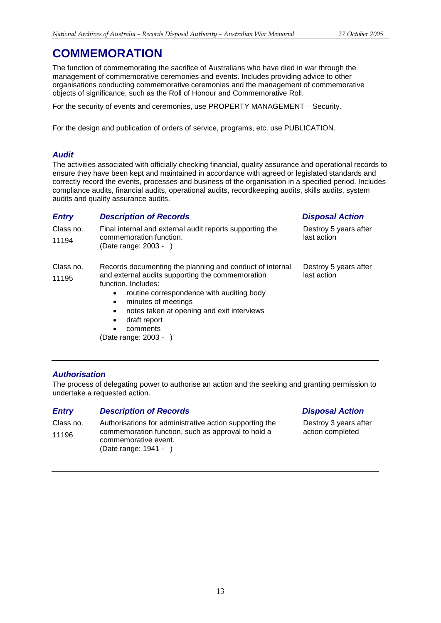The function of commemorating the sacrifice of Australians who have died in war through the management of commemorative ceremonies and events. Includes providing advice to other organisations conducting commemorative ceremonies and the management of commemorative objects of significance, such as the Roll of Honour and Commemorative Roll.

For the security of events and ceremonies, use PROPERTY MANAGEMENT – Security.

For the design and publication of orders of service, programs, etc. use PUBLICATION.

## *Audit*

The activities associated with officially checking financial, quality assurance and operational records to ensure they have been kept and maintained in accordance with agreed or legislated standards and correctly record the events, processes and business of the organisation in a specified period. Includes compliance audits, financial audits, operational audits, recordkeeping audits, skills audits, system audits and quality assurance audits.

## *Entry Description of Records Disposal Action*

| Class no.<br>11194 | Final internal and external audit reports supporting the<br>commemoration function.<br>(Date range: 2003 - )                                                                                                                                                                                                                       | Destroy 5 years after<br>last action |
|--------------------|------------------------------------------------------------------------------------------------------------------------------------------------------------------------------------------------------------------------------------------------------------------------------------------------------------------------------------|--------------------------------------|
| Class no.<br>11195 | Records documenting the planning and conduct of internal<br>and external audits supporting the commemoration<br>function. Includes:<br>routine correspondence with auditing body<br>٠<br>minutes of meetings<br>$\bullet$<br>notes taken at opening and exit interviews<br>$\bullet$<br>draft report<br>$\bullet$<br>comments<br>٠ | Destroy 5 years after<br>last action |

(Date range: 2003 - )

## *Authorisation*

The process of delegating power to authorise an action and the seeking and granting permission to undertake a requested action.

## *Entry Description of Records Disposal Action*

Class no. 11196 Authorisations for administrative action supporting the commemoration function, such as approval to hold a commemorative event. (Date range: 1941 - )

Destroy 3 years after action completed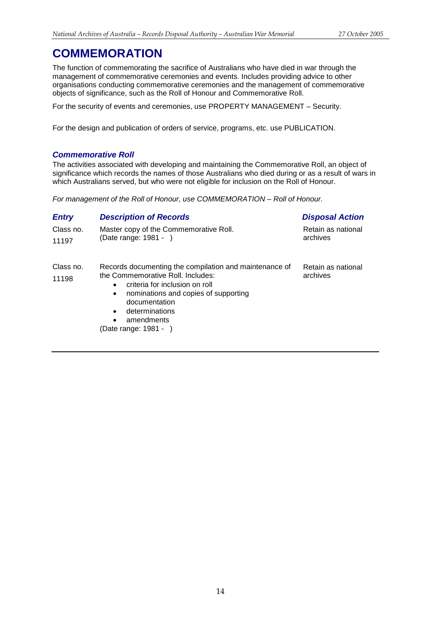The function of commemorating the sacrifice of Australians who have died in war through the management of commemorative ceremonies and events. Includes providing advice to other organisations conducting commemorative ceremonies and the management of commemorative objects of significance, such as the Roll of Honour and Commemorative Roll.

For the security of events and ceremonies, use PROPERTY MANAGEMENT – Security.

For the design and publication of orders of service, programs, etc. use PUBLICATION.

## *Commemorative Roll*

The activities associated with developing and maintaining the Commemorative Roll, an object of significance which records the names of those Australians who died during or as a result of wars in which Australians served, but who were not eligible for inclusion on the Roll of Honour.

*For management of the Roll of Honour, use COMMEMORATION – Roll of Honour.*

## *Entry Description of Records Disposal Action*

| Class no.          | Master copy of the Commemorative Roll.                                                                                                                                                                                             | Retain as national             |
|--------------------|------------------------------------------------------------------------------------------------------------------------------------------------------------------------------------------------------------------------------------|--------------------------------|
| 11197              | (Date range: 1981 - )                                                                                                                                                                                                              | archives                       |
| Class no.<br>11198 | Records documenting the compilation and maintenance of<br>the Commemorative Roll. Includes:<br>criteria for inclusion on roll<br>$\bullet$<br>nominations and copies of supporting<br>$\bullet$<br>documentation<br>determinations | Retain as national<br>archives |

amendments

(Date range: 1981 - )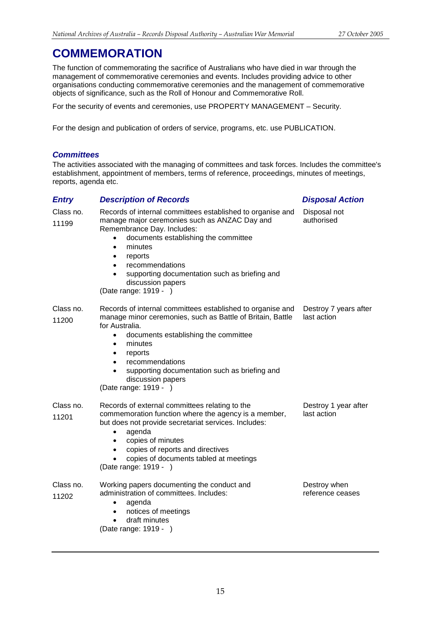The function of commemorating the sacrifice of Australians who have died in war through the management of commemorative ceremonies and events. Includes providing advice to other organisations conducting commemorative ceremonies and the management of commemorative objects of significance, such as the Roll of Honour and Commemorative Roll.

For the security of events and ceremonies, use PROPERTY MANAGEMENT – Security.

For the design and publication of orders of service, programs, etc. use PUBLICATION.

## *Committees*

The activities associated with the managing of committees and task forces. Includes the committee's establishment, appointment of members, terms of reference, proceedings, minutes of meetings, reports, agenda etc.

| <b>Entry</b>       | <b>Description of Records</b>                                                                                                                                                                                                                                                                                                                                          | <b>Disposal Action</b>               |
|--------------------|------------------------------------------------------------------------------------------------------------------------------------------------------------------------------------------------------------------------------------------------------------------------------------------------------------------------------------------------------------------------|--------------------------------------|
| Class no.<br>11199 | Records of internal committees established to organise and<br>manage major ceremonies such as ANZAC Day and<br>Remembrance Day. Includes:<br>documents establishing the committee<br>minutes<br>$\bullet$<br>reports<br>٠<br>recommendations<br>$\bullet$<br>supporting documentation such as briefing and<br>$\bullet$<br>discussion papers<br>(Date range: 1919 - )  | Disposal not<br>authorised           |
| Class no.<br>11200 | Records of internal committees established to organise and<br>manage minor ceremonies, such as Battle of Britain, Battle<br>for Australia.<br>documents establishing the committee<br>$\bullet$<br>minutes<br>$\bullet$<br>reports<br>٠<br>recommendations<br>supporting documentation such as briefing and<br>$\bullet$<br>discussion papers<br>(Date range: 1919 - ) | Destroy 7 years after<br>last action |
| Class no.<br>11201 | Records of external committees relating to the<br>commemoration function where the agency is a member,<br>but does not provide secretariat services. Includes:<br>agenda<br>$\bullet$<br>copies of minutes<br>$\bullet$<br>copies of reports and directives<br>$\bullet$<br>copies of documents tabled at meetings<br>(Date range: 1919 - )                            | Destroy 1 year after<br>last action  |
| Class no.<br>11202 | Working papers documenting the conduct and<br>administration of committees. Includes:<br>agenda<br>$\bullet$<br>notices of meetings<br>$\bullet$<br>draft minutes<br>$\bullet$<br>(Date range: 1919 - )                                                                                                                                                                | Destroy when<br>reference ceases     |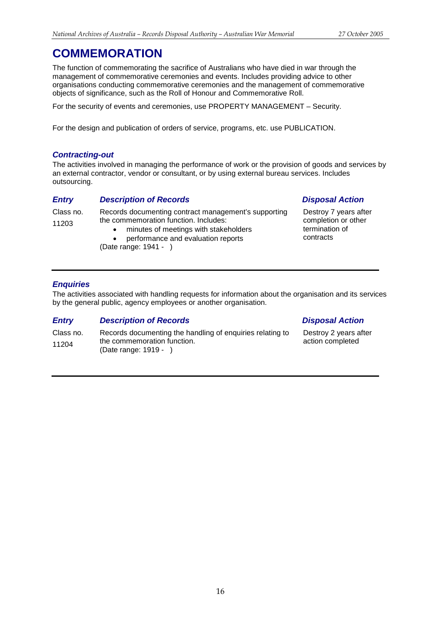The function of commemorating the sacrifice of Australians who have died in war through the management of commemorative ceremonies and events. Includes providing advice to other organisations conducting commemorative ceremonies and the management of commemorative objects of significance, such as the Roll of Honour and Commemorative Roll.

For the security of events and ceremonies, use PROPERTY MANAGEMENT – Security.

For the design and publication of orders of service, programs, etc. use PUBLICATION.

## *Contracting-out*

The activities involved in managing the performance of work or the provision of goods and services by an external contractor, vendor or consultant, or by using external bureau services. Includes outsourcing.

## *Entry Description of Records Disposal Action*

Class no. 11203 Records documenting contract management's supporting the commemoration function. Includes:

- minutes of meetings with stakeholders
- performance and evaluation reports

(Date range: 1941 - )

Destroy 7 years after completion or other termination of contracts

## *Enquiries*

The activities associated with handling requests for information about the organisation and its services by the general public, agency employees or another organisation.

## *Entry Description of Records Disposal Action*

Class no. 11204 Records documenting the handling of enquiries relating to the commemoration function. (Date range: 1919 - )

Destroy 2 years after action completed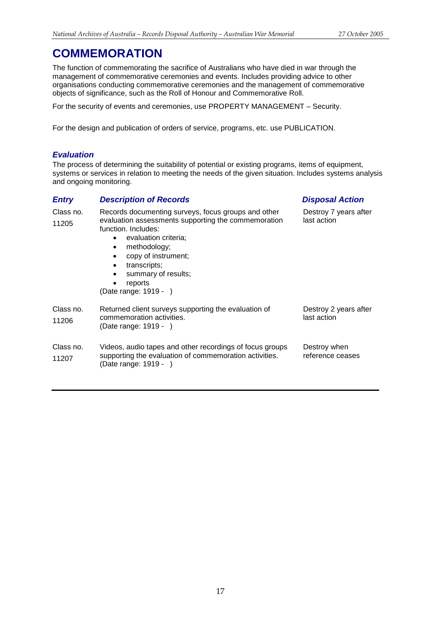The function of commemorating the sacrifice of Australians who have died in war through the management of commemorative ceremonies and events. Includes providing advice to other organisations conducting commemorative ceremonies and the management of commemorative objects of significance, such as the Roll of Honour and Commemorative Roll.

For the security of events and ceremonies, use PROPERTY MANAGEMENT – Security.

For the design and publication of orders of service, programs, etc. use PUBLICATION.

## *Evaluation*

The process of determining the suitability of potential or existing programs, items of equipment, systems or services in relation to meeting the needs of the given situation. Includes systems analysis and ongoing monitoring.

| <b>Entry</b>       | <b>Description of Records</b>                                                                                                                                                                                                                                                                                                                     | <b>Disposal Action</b>               |
|--------------------|---------------------------------------------------------------------------------------------------------------------------------------------------------------------------------------------------------------------------------------------------------------------------------------------------------------------------------------------------|--------------------------------------|
| Class no.<br>11205 | Records documenting surveys, focus groups and other<br>evaluation assessments supporting the commemoration<br>function. Includes:<br>evaluation criteria;<br>٠<br>methodology;<br>$\bullet$<br>copy of instrument;<br>$\bullet$<br>transcripts;<br>$\bullet$<br>summary of results;<br>$\bullet$<br>reports<br>$\bullet$<br>(Date range: 1919 - ) | Destroy 7 years after<br>last action |
| Class no.<br>11206 | Returned client surveys supporting the evaluation of<br>commemoration activities.<br>(Date range: 1919 - )                                                                                                                                                                                                                                        | Destroy 2 years after<br>last action |
| Class no.<br>11207 | Videos, audio tapes and other recordings of focus groups<br>supporting the evaluation of commemoration activities.<br>(Date range: 1919 - )                                                                                                                                                                                                       | Destroy when<br>reference ceases     |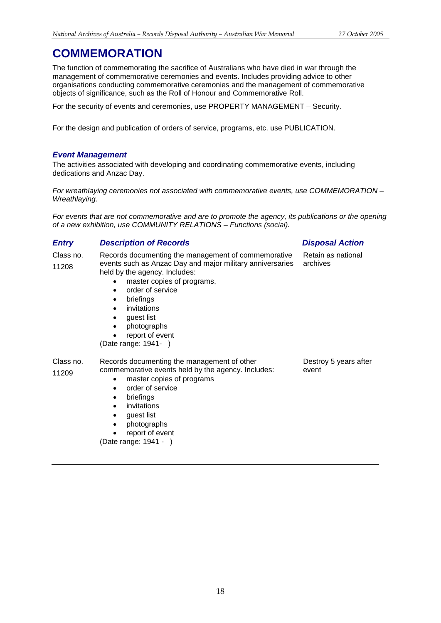The function of commemorating the sacrifice of Australians who have died in war through the management of commemorative ceremonies and events. Includes providing advice to other organisations conducting commemorative ceremonies and the management of commemorative objects of significance, such as the Roll of Honour and Commemorative Roll.

For the security of events and ceremonies, use PROPERTY MANAGEMENT – Security.

For the design and publication of orders of service, programs, etc. use PUBLICATION.

## *Event Management*

The activities associated with developing and coordinating commemorative events, including dedications and Anzac Day.

*For wreathlaying ceremonies not associated with commemorative events, use COMMEMORATION – Wreathlaying.*

*For events that are not commemorative and are to promote the agency, its publications or the opening of a new exhibition, use COMMUNITY RELATIONS – Functions (social).*

## *Entry Description of Records Disposal Action*

Class no. 11208 Records documenting the management of commemorative events such as Anzac Day and major military anniversaries held by the agency. Includes:

- master copies of programs,
- order of service
- briefings
- invitations
- quest list
- photographs
- report of event

(Date range: 1941- )

### Class no. 11209 Records documenting the management of other commemorative events held by the agency. Includes:

- master copies of programs
- order of service
- briefings
- invitations
- guest list
- photographs
- report of event

(Date range: 1941 - )

Destroy 5 years after event

Retain as national

archives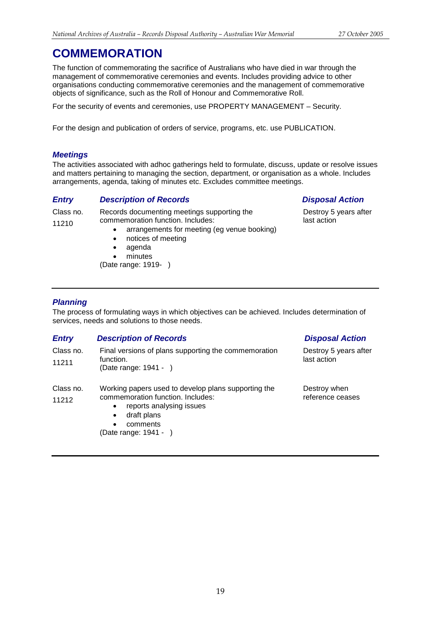The function of commemorating the sacrifice of Australians who have died in war through the management of commemorative ceremonies and events. Includes providing advice to other organisations conducting commemorative ceremonies and the management of commemorative objects of significance, such as the Roll of Honour and Commemorative Roll.

For the security of events and ceremonies, use PROPERTY MANAGEMENT – Security.

For the design and publication of orders of service, programs, etc. use PUBLICATION.

## *Meetings*

11210

The activities associated with adhoc gatherings held to formulate, discuss, update or resolve issues and matters pertaining to managing the section, department, or organisation as a whole. Includes arrangements, agenda, taking of minutes etc. Excludes committee meetings.

## *Entry Description of Records Disposal Action*

Class no. Records documenting meetings supporting the

- 
- 

commemoration function. Includes:

- arrangements for meeting (eg venue booking)
- notices of meeting
- agenda
- minutes
- (Date range: 1919- )

Destroy 5 years after last action

## *Planning*

The process of formulating ways in which objectives can be achieved. Includes determination of services, needs and solutions to those needs.

| <b>Entry</b>       | <b>Description of Records</b>                                                                                                                                                                                   | <b>Disposal Action</b>               |
|--------------------|-----------------------------------------------------------------------------------------------------------------------------------------------------------------------------------------------------------------|--------------------------------------|
| Class no.<br>11211 | Final versions of plans supporting the commemoration<br>function.<br>(Date range: 1941 - )                                                                                                                      | Destroy 5 years after<br>last action |
| Class no.<br>11212 | Working papers used to develop plans supporting the<br>commemoration function. Includes:<br>reports analysing issues<br>$\bullet$<br>draft plans<br>$\bullet$<br>comments<br>$\bullet$<br>(Date range: 1941 - ) | Destroy when<br>reference ceases     |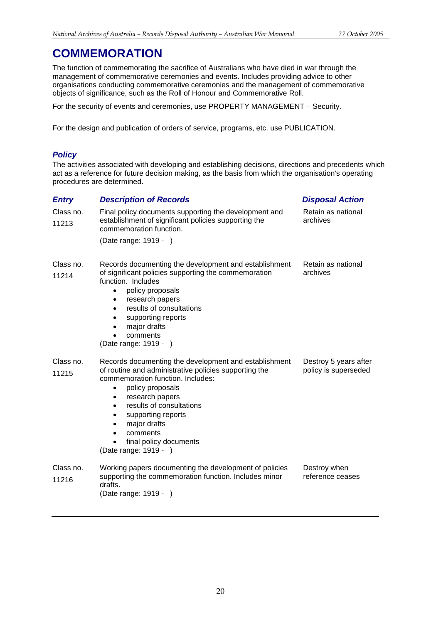The function of commemorating the sacrifice of Australians who have died in war through the management of commemorative ceremonies and events. Includes providing advice to other organisations conducting commemorative ceremonies and the management of commemorative objects of significance, such as the Roll of Honour and Commemorative Roll.

For the security of events and ceremonies, use PROPERTY MANAGEMENT – Security.

For the design and publication of orders of service, programs, etc. use PUBLICATION.

## *Policy*

The activities associated with developing and establishing decisions, directions and precedents which act as a reference for future decision making, as the basis from which the organisation's operating procedures are determined.

| <b>Entry</b>       | <b>Description of Records</b>                                                                                                                                                                                                                                                                                                                              | <b>Disposal Action</b>                        |
|--------------------|------------------------------------------------------------------------------------------------------------------------------------------------------------------------------------------------------------------------------------------------------------------------------------------------------------------------------------------------------------|-----------------------------------------------|
| Class no.<br>11213 | Final policy documents supporting the development and<br>establishment of significant policies supporting the<br>commemoration function.                                                                                                                                                                                                                   | Retain as national<br>archives                |
|                    | (Date range: 1919 - )                                                                                                                                                                                                                                                                                                                                      |                                               |
| Class no.<br>11214 | Records documenting the development and establishment<br>of significant policies supporting the commemoration<br>function. Includes<br>policy proposals<br>$\bullet$<br>research papers<br>results of consultations<br>$\bullet$<br>supporting reports<br>٠<br>major drafts<br>٠<br>comments<br>(Date range: 1919 - )                                      | Retain as national<br>archives                |
| Class no.<br>11215 | Records documenting the development and establishment<br>of routine and administrative policies supporting the<br>commemoration function. Includes:<br>policy proposals<br>٠<br>research papers<br>$\bullet$<br>results of consultations<br>$\bullet$<br>supporting reports<br>major drafts<br>comments<br>final policy documents<br>(Date range: 1919 - ) | Destroy 5 years after<br>policy is superseded |
| Class no.<br>11216 | Working papers documenting the development of policies<br>supporting the commemoration function. Includes minor<br>drafts.<br>(Date range: 1919 -<br>$\rightarrow$                                                                                                                                                                                         | Destroy when<br>reference ceases              |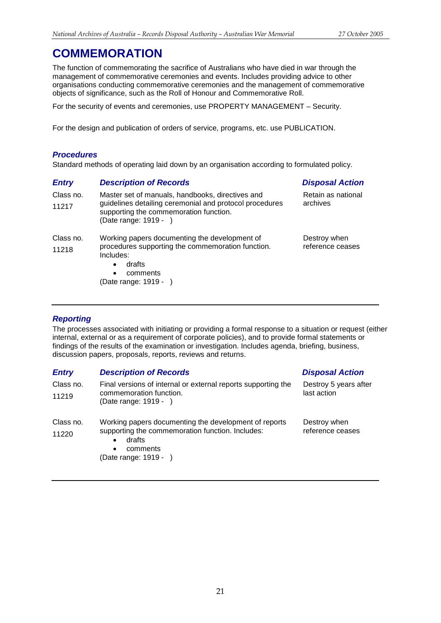The function of commemorating the sacrifice of Australians who have died in war through the management of commemorative ceremonies and events. Includes providing advice to other organisations conducting commemorative ceremonies and the management of commemorative objects of significance, such as the Roll of Honour and Commemorative Roll.

For the security of events and ceremonies, use PROPERTY MANAGEMENT – Security.

For the design and publication of orders of service, programs, etc. use PUBLICATION.

## *Procedures*

Standard methods of operating laid down by an organisation according to formulated policy.

| <b>Entry</b> | <b>Description of Records</b>                                                                                              | <b>Disposal Action</b> |
|--------------|----------------------------------------------------------------------------------------------------------------------------|------------------------|
| Class no.    | Master set of manuals, handbooks, directives and                                                                           | Retain as national     |
| 11217        | guidelines detailing ceremonial and protocol procedures<br>supporting the commemoration function.<br>(Date range: 1919 - ) | archives               |
| Class no.    | Working papers documenting the development of                                                                              | Destroy when           |
| 11218        | procedures supporting the commemoration function.<br>Includes:<br>drafts<br>$\bullet$                                      | reference ceases       |
|              | comments<br>$\bullet$                                                                                                      |                        |
|              | (Date range: 1919 -                                                                                                        |                        |

## *Reporting*

The processes associated with initiating or providing a formal response to a situation or request (either internal, external or as a requirement of corporate policies), and to provide formal statements or findings of the results of the examination or investigation. Includes agenda, briefing, business, discussion papers, proposals, reports, reviews and returns.

## *Entry Description of Records Disposal Action*

| Class no.<br>11219 | Final versions of internal or external reports supporting the<br>commemoration function.<br>(Date range: 1919 - )                                                          | Destroy 5 years after<br>last action |
|--------------------|----------------------------------------------------------------------------------------------------------------------------------------------------------------------------|--------------------------------------|
| Class no.<br>11220 | Working papers documenting the development of reports<br>supporting the commemoration function. Includes:<br>drafts<br>٠<br>comments<br>$\bullet$<br>(Date range: 1919 - ) | Destroy when<br>reference ceases     |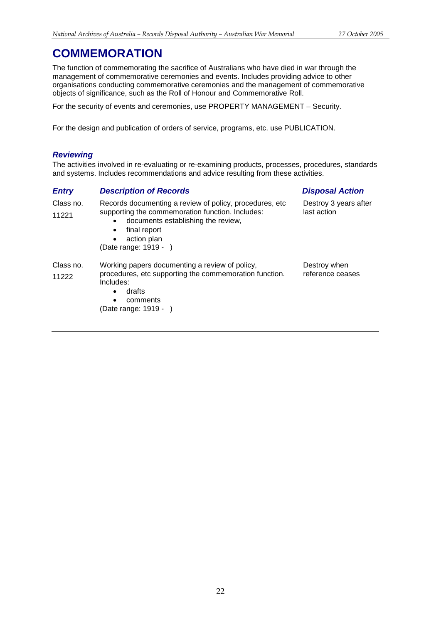The function of commemorating the sacrifice of Australians who have died in war through the management of commemorative ceremonies and events. Includes providing advice to other organisations conducting commemorative ceremonies and the management of commemorative objects of significance, such as the Roll of Honour and Commemorative Roll.

For the security of events and ceremonies, use PROPERTY MANAGEMENT – Security.

For the design and publication of orders of service, programs, etc. use PUBLICATION.

## *Reviewing*

The activities involved in re-evaluating or re-examining products, processes, procedures, standards and systems. Includes recommendations and advice resulting from these activities.

## *Entry Description of Records Disposal Action*

### Class no. 11221 Records documenting a review of policy, procedures, etc supporting the commemoration function. Includes: • documents establishing the review, final report action plan (Date range: 1919 - ) Destroy 3 years after last action Class no. 11222 Working papers documenting a review of policy, procedures, etc supporting the commemoration function. Includes: • drafts • comments (Date range: 1919 - ) Destroy when reference ceases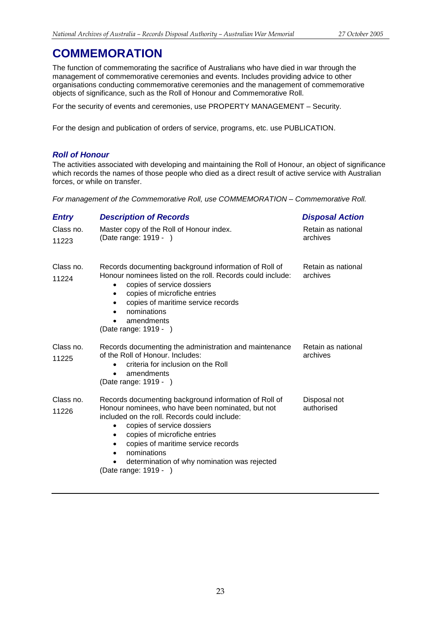The function of commemorating the sacrifice of Australians who have died in war through the management of commemorative ceremonies and events. Includes providing advice to other organisations conducting commemorative ceremonies and the management of commemorative objects of significance, such as the Roll of Honour and Commemorative Roll.

For the security of events and ceremonies, use PROPERTY MANAGEMENT – Security.

For the design and publication of orders of service, programs, etc. use PUBLICATION.

## *Roll of Honour*

The activities associated with developing and maintaining the Roll of Honour, an object of significance which records the names of those people who died as a direct result of active service with Australian forces, or while on transfer.

*For management of the Commemorative Roll, use COMMEMORATION – Commemorative Roll.*

| <b>Entry</b>       | <b>Description of Records</b>                                                                                                                                                                                                                                                                                                                                                         | <b>Disposal Action</b>         |
|--------------------|---------------------------------------------------------------------------------------------------------------------------------------------------------------------------------------------------------------------------------------------------------------------------------------------------------------------------------------------------------------------------------------|--------------------------------|
| Class no.<br>11223 | Master copy of the Roll of Honour index.<br>(Date range: 1919 - )                                                                                                                                                                                                                                                                                                                     | Retain as national<br>archives |
| Class no.<br>11224 | Records documenting background information of Roll of<br>Honour nominees listed on the roll. Records could include:<br>copies of service dossiers<br>٠<br>copies of microfiche entries<br>$\bullet$<br>copies of maritime service records<br>٠<br>nominations<br>amendments<br>$\bullet$<br>(Date range: 1919 - )                                                                     | Retain as national<br>archives |
| Class no.<br>11225 | Records documenting the administration and maintenance<br>of the Roll of Honour, Includes:<br>criteria for inclusion on the Roll<br>$\bullet$<br>amendments<br>(Date range: 1919 - )                                                                                                                                                                                                  | Retain as national<br>archives |
| Class no.<br>11226 | Records documenting background information of Roll of<br>Honour nominees, who have been nominated, but not<br>included on the roll. Records could include:<br>copies of service dossiers<br>copies of microfiche entries<br>٠<br>copies of maritime service records<br>$\bullet$<br>nominations<br>$\bullet$<br>determination of why nomination was rejected<br>(Date range: 1919 - ) | Disposal not<br>authorised     |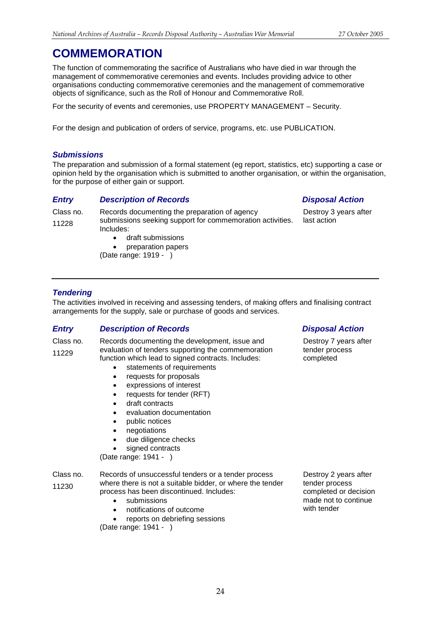The function of commemorating the sacrifice of Australians who have died in war through the management of commemorative ceremonies and events. Includes providing advice to other organisations conducting commemorative ceremonies and the management of commemorative objects of significance, such as the Roll of Honour and Commemorative Roll.

For the security of events and ceremonies, use PROPERTY MANAGEMENT – Security.

For the design and publication of orders of service, programs, etc. use PUBLICATION.

## *Submissions*

The preparation and submission of a formal statement (eg report, statistics, etc) supporting a case or opinion held by the organisation which is submitted to another organisation, or within the organisation, for the purpose of either gain or support.

## *Entry Description of Records Disposal Action*

Destroy 3 years after last action

Class no. 11228

- Records documenting the preparation of agency submissions seeking support for commemoration activities. Includes:
	- draft submissions
	- preparation papers
	- (Date range: 1919 )

## *Tendering*

The activities involved in receiving and assessing tenders, of making offers and finalising contract arrangements for the supply, sale or purchase of goods and services.

## *Entry Description of Records Disposal Action*

Class no. 11229

- Records documenting the development, issue and evaluation of tenders supporting the commemoration function which lead to signed contracts. Includes:
	- statements of requirements
	- requests for proposals
	- expressions of interest
	- requests for tender (RFT)
	- draft contracts
	- evaluation documentation
	- public notices
	- negotiations
	- due diligence checks
	- signed contracts

(Date range: 1941 - )

Class no. 11230 Records of unsuccessful tenders or a tender process where there is not a suitable bidder, or where the tender process has been discontinued. Includes:

- submissions
- notifications of outcome
- reports on debriefing sessions

(Date range: 1941 - )

Destroy 7 years after tender process completed

Destroy 2 years after tender process completed or decision made not to continue with tender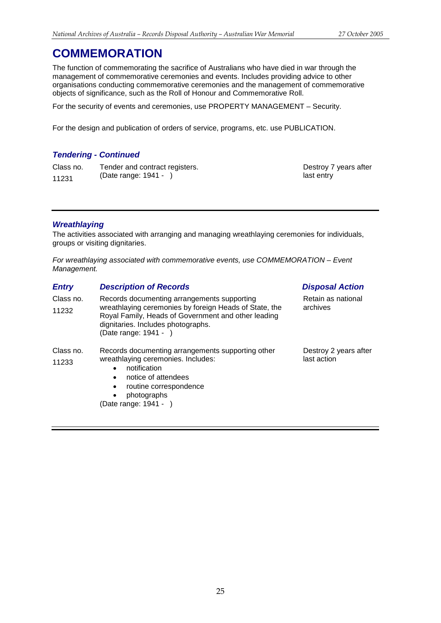The function of commemorating the sacrifice of Australians who have died in war through the management of commemorative ceremonies and events. Includes providing advice to other organisations conducting commemorative ceremonies and the management of commemorative objects of significance, such as the Roll of Honour and Commemorative Roll.

For the security of events and ceremonies, use PROPERTY MANAGEMENT – Security.

For the design and publication of orders of service, programs, etc. use PUBLICATION.

## *Tendering - Continued*

Class no. 11231 Tender and contract registers. (Date range: 1941 - )

Destroy 7 years after last entry

## *Wreathlaying*

The activities associated with arranging and managing wreathlaying ceremonies for individuals, groups or visiting dignitaries.

*For wreathlaying associated with commemorative events, use COMMEMORATION – Event Management.*

| <b>Entry</b>       | <b>Description of Records</b>                                                                                                                                                                                                                        | <b>Disposal Action</b>               |
|--------------------|------------------------------------------------------------------------------------------------------------------------------------------------------------------------------------------------------------------------------------------------------|--------------------------------------|
| Class no.<br>11232 | Records documenting arrangements supporting<br>wreathlaying ceremonies by foreign Heads of State, the<br>Royal Family, Heads of Government and other leading<br>dignitaries. Includes photographs.<br>(Date range: 1941 - )                          | Retain as national<br>archives       |
| Class no.<br>11233 | Records documenting arrangements supporting other<br>wreathlaying ceremonies. Includes:<br>notification<br>$\bullet$<br>notice of attendees<br>$\bullet$<br>routine correspondence<br>$\bullet$<br>photographs<br>$\bullet$<br>(Date range: 1941 - ) | Destroy 2 years after<br>last action |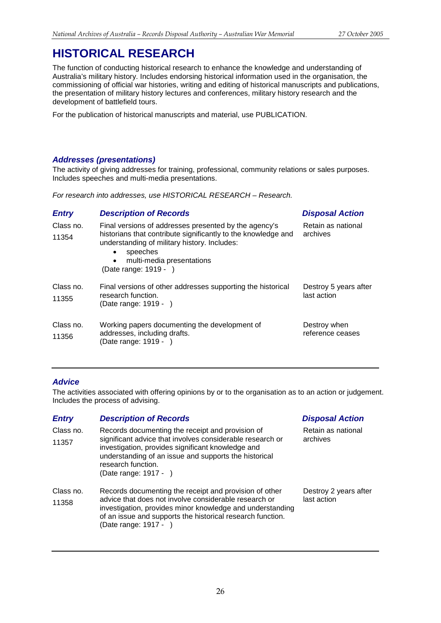<span id="page-25-0"></span>The function of conducting historical research to enhance the knowledge and understanding of Australia's military history. Includes endorsing historical information used in the organisation, the commissioning of official war histories, writing and editing of historical manuscripts and publications, the presentation of military history lectures and conferences, military history research and the development of battlefield tours.

For the publication of historical manuscripts and material, use PUBLICATION.

## *Addresses (presentations)*

The activity of giving addresses for training, professional, community relations or sales purposes. Includes speeches and multi-media presentations.

*For research into addresses, use HISTORICAL RESEARCH – Research.*

## *Entry Description of Records Disposal Action*

| Class no.<br>11354 | Final versions of addresses presented by the agency's<br>historians that contribute significantly to the knowledge and<br>understanding of military history. Includes:<br>speeches<br>$\bullet$<br>multi-media presentations<br>$\bullet$<br>(Date range: 1919 - ) | Retain as national<br>archives       |
|--------------------|--------------------------------------------------------------------------------------------------------------------------------------------------------------------------------------------------------------------------------------------------------------------|--------------------------------------|
| Class no.<br>11355 | Final versions of other addresses supporting the historical<br>research function.<br>(Date range: 1919 - )                                                                                                                                                         | Destroy 5 years after<br>last action |
| Class no.<br>11356 | Working papers documenting the development of<br>addresses, including drafts.<br>(Date range: 1919 - )                                                                                                                                                             | Destroy when<br>reference ceases     |

## *Advice*

The activities associated with offering opinions by or to the organisation as to an action or judgement. Includes the process of advising.

## *Entry Description of Records Disposal Action*

(Date range: 1917 - )

| Class no. | Records documenting the receipt and provision of                                                                                                                                                                       |      |
|-----------|------------------------------------------------------------------------------------------------------------------------------------------------------------------------------------------------------------------------|------|
| 11357     | significant advice that involves considerable research or<br>investigation, provides significant knowledge and<br>understanding of an issue and supports the historical<br>research function.<br>(Date range: 1917 - ) | arc  |
| Class no. | Records documenting the receipt and provision of other                                                                                                                                                                 | De:  |
| 11358     | advice that does not involve considerable research or                                                                                                                                                                  | last |

investigation, provides minor knowledge and understanding of an issue and supports the historical research function.

tain as national hives:

stroy 2 years after t action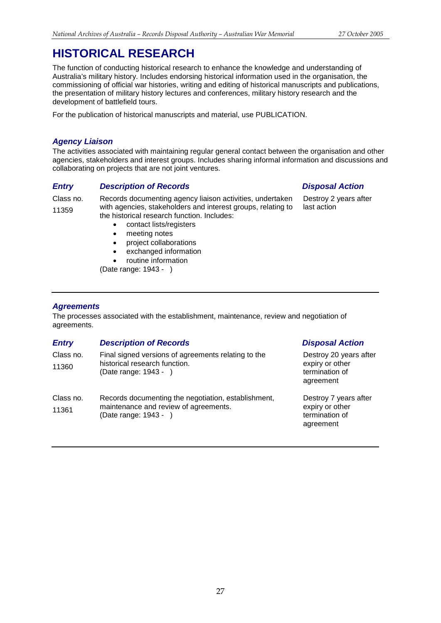The function of conducting historical research to enhance the knowledge and understanding of Australia's military history. Includes endorsing historical information used in the organisation, the commissioning of official war histories, writing and editing of historical manuscripts and publications, the presentation of military history lectures and conferences, military history research and the development of battlefield tours.

For the publication of historical manuscripts and material, use PUBLICATION.

## *Agency Liaison*

The activities associated with maintaining regular general contact between the organisation and other agencies, stakeholders and interest groups. Includes sharing informal information and discussions and collaborating on projects that are not joint ventures.

## *Entry Description of Records Disposal Action*

Class no. 11359

Records documenting agency liaison activities, undertaken with agencies, stakeholders and interest groups, relating to the historical research function. Includes:

- contact lists/registers
- meeting notes
- project collaborations
- exchanged information
- routine information

(Date range: 1943 - )

## *Agreements*

The processes associated with the establishment, maintenance, review and negotiation of agreements.

| <b>Entry</b>       | <b>Description of Records</b>                                                                                 | <b>Disposal Action</b>                                                   |
|--------------------|---------------------------------------------------------------------------------------------------------------|--------------------------------------------------------------------------|
| Class no.<br>11360 | Final signed versions of agreements relating to the<br>historical research function.<br>(Date range: 1943 - ) | Destroy 20 years after<br>expiry or other<br>termination of<br>agreement |
| Class no.<br>11361 | Records documenting the negotiation, establishment,<br>maintenance and review of agreements.                  | Destroy 7 years after<br>expiry or other                                 |
|                    | (Date range: 1943 - )                                                                                         | termination of<br>agreement                                              |

Destroy 2 years after last action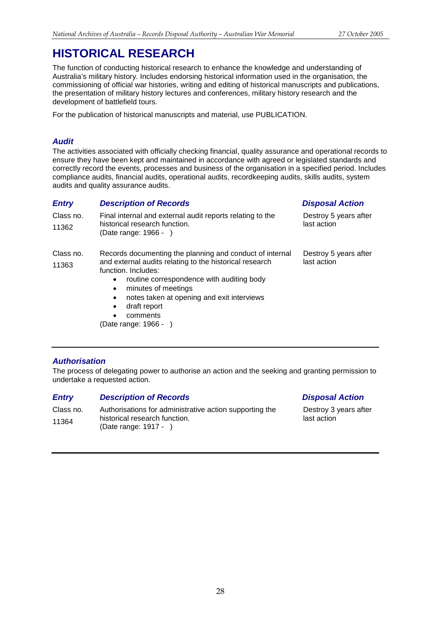The function of conducting historical research to enhance the knowledge and understanding of Australia's military history. Includes endorsing historical information used in the organisation, the commissioning of official war histories, writing and editing of historical manuscripts and publications, the presentation of military history lectures and conferences, military history research and the development of battlefield tours.

For the publication of historical manuscripts and material, use PUBLICATION.

## *Audit*

The activities associated with officially checking financial, quality assurance and operational records to ensure they have been kept and maintained in accordance with agreed or legislated standards and correctly record the events, processes and business of the organisation in a specified period. Includes compliance audits, financial audits, operational audits, recordkeeping audits, skills audits, system audits and quality assurance audits.

## *Entry Description of Records Disposal Action*

| Class no.<br>11362 | Final internal and external audit reports relating to the<br>historical research function.<br>(Date range: $1966 - 1$ ) | Destroy 5 years after<br>last action |
|--------------------|-------------------------------------------------------------------------------------------------------------------------|--------------------------------------|
| Class no.          | Records documenting the planning and conduct of internal                                                                | Destroy 5 years after                |
| 11363              | and external audits relating to the historical research<br>function. Includes:                                          | last action                          |
|                    | routine correspondence with auditing body<br>$\bullet$<br>minutes of meetings<br>$\bullet$                              |                                      |
|                    | المتنادما والمتحافظ المادحا المتحالة مراجع مرضا فالمراجع المتحال والمتحال والمتحال والمتحالة                            |                                      |

- notes taken at opening and exit interviews • draft report
- comments

(Date range: 1966 - )

Destroy 3 years after last action

## *Authorisation*

The process of delegating power to authorise an action and the seeking and granting permission to undertake a requested action.

## *Entry Description of Records Disposal Action*

Class no. 11364 Authorisations for administrative action supporting the historical research function. (Date range: 1917 - )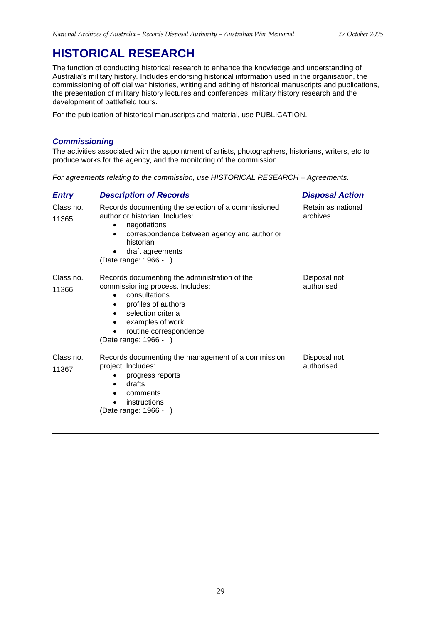The function of conducting historical research to enhance the knowledge and understanding of Australia's military history. Includes endorsing historical information used in the organisation, the commissioning of official war histories, writing and editing of historical manuscripts and publications, the presentation of military history lectures and conferences, military history research and the development of battlefield tours.

For the publication of historical manuscripts and material, use PUBLICATION.

## *Commissioning*

The activities associated with the appointment of artists, photographers, historians, writers, etc to produce works for the agency, and the monitoring of the commission.

*For agreements relating to the commission, use HISTORICAL RESEARCH – Agreements.*

| <b>Entry</b>       | <b>Description of Records</b>                                                                                                                                                                                                       | <b>Disposal Action</b>         |
|--------------------|-------------------------------------------------------------------------------------------------------------------------------------------------------------------------------------------------------------------------------------|--------------------------------|
| Class no.<br>11365 | Records documenting the selection of a commissioned<br>author or historian. Includes:<br>negotiations<br>correspondence between agency and author or<br>$\bullet$<br>historian<br>draft agreements<br>(Date range: 1966 - )         | Retain as national<br>archives |
| Class no.<br>11366 | Records documenting the administration of the<br>commissioning process. Includes:<br>consultations<br>profiles of authors<br>$\bullet$<br>selection criteria<br>examples of work<br>routine correspondence<br>(Date range: 1966 - ) | Disposal not<br>authorised     |
| Class no.<br>11367 | Records documenting the management of a commission<br>project. Includes:<br>progress reports<br>٠<br>drafts<br>٠<br>comments<br>٠<br>instructions<br>(Date range: 1966 - )                                                          | Disposal not<br>authorised     |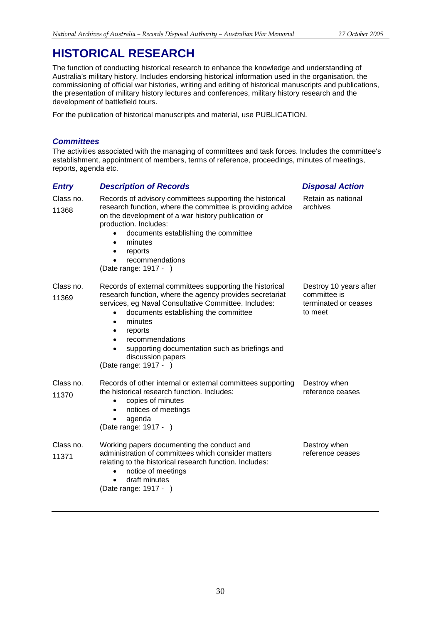The function of conducting historical research to enhance the knowledge and understanding of Australia's military history. Includes endorsing historical information used in the organisation, the commissioning of official war histories, writing and editing of historical manuscripts and publications, the presentation of military history lectures and conferences, military history research and the development of battlefield tours.

For the publication of historical manuscripts and material, use PUBLICATION.

## *Committees*

The activities associated with the managing of committees and task forces. Includes the committee's establishment, appointment of members, terms of reference, proceedings, minutes of meetings, reports, agenda etc.

## *Entry Description of Records Disposal Action*

| Class no.<br>11368 | Records of advisory committees supporting the historical<br>research function, where the committee is providing advice<br>on the development of a war history publication or<br>production. Includes:<br>documents establishing the committee<br>minutes<br>$\bullet$<br>reports<br>recommendations<br>(Date range: 1917 - )                                               | Retain as national<br>archives                                            |
|--------------------|----------------------------------------------------------------------------------------------------------------------------------------------------------------------------------------------------------------------------------------------------------------------------------------------------------------------------------------------------------------------------|---------------------------------------------------------------------------|
| Class no.<br>11369 | Records of external committees supporting the historical<br>research function, where the agency provides secretariat<br>services, eg Naval Consultative Committee. Includes:<br>documents establishing the committee<br>minutes<br>$\bullet$<br>reports<br>recommendations<br>supporting documentation such as briefings and<br>discussion papers<br>(Date range: 1917 - ) | Destroy 10 years after<br>committee is<br>terminated or ceases<br>to meet |
| Class no.<br>11370 | Records of other internal or external committees supporting<br>the historical research function. Includes:<br>copies of minutes<br>$\bullet$<br>notices of meetings<br>agenda<br>(Date range: 1917 - )                                                                                                                                                                     | Destroy when<br>reference ceases                                          |
| Class no.<br>11371 | Working papers documenting the conduct and<br>administration of committees which consider matters<br>relating to the historical research function. Includes:<br>notice of meetings<br>$\bullet$<br>draft minutes<br>(Date range: 1917 - )                                                                                                                                  | Destroy when<br>reference ceases                                          |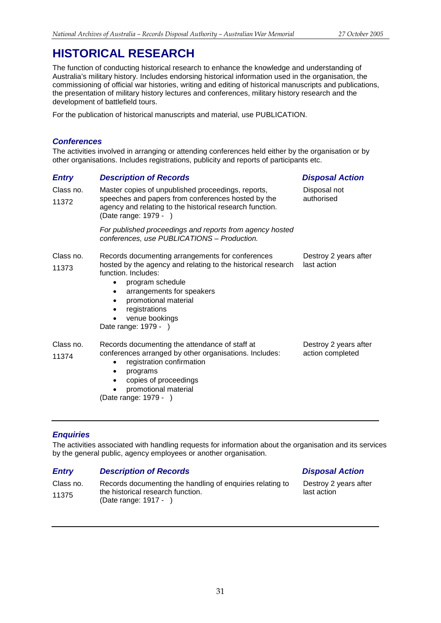The function of conducting historical research to enhance the knowledge and understanding of Australia's military history. Includes endorsing historical information used in the organisation, the commissioning of official war histories, writing and editing of historical manuscripts and publications, the presentation of military history lectures and conferences, military history research and the development of battlefield tours.

For the publication of historical manuscripts and material, use PUBLICATION.

## *Conferences*

The activities involved in arranging or attending conferences held either by the organisation or by other organisations. Includes registrations, publicity and reports of participants etc.

| <b>Entry</b>       | <b>Description of Records</b>                                                                                                                                                                                                                                                                                      | <b>Disposal Action</b>                    |
|--------------------|--------------------------------------------------------------------------------------------------------------------------------------------------------------------------------------------------------------------------------------------------------------------------------------------------------------------|-------------------------------------------|
| Class no.<br>11372 | Master copies of unpublished proceedings, reports,<br>speeches and papers from conferences hosted by the<br>agency and relating to the historical research function.<br>(Date range: 1979 - )                                                                                                                      | Disposal not<br>authorised                |
|                    | For published proceedings and reports from agency hosted<br>conferences, use PUBLICATIONS - Production.                                                                                                                                                                                                            |                                           |
| Class no.<br>11373 | Records documenting arrangements for conferences<br>hosted by the agency and relating to the historical research<br>function. Includes:<br>program schedule<br>$\bullet$<br>arrangements for speakers<br>$\bullet$<br>promotional material<br>$\bullet$<br>registrations<br>venue bookings<br>Date range: 1979 - ) | Destroy 2 years after<br>last action      |
| Class no.<br>11374 | Records documenting the attendance of staff at<br>conferences arranged by other organisations. Includes:<br>registration confirmation<br>$\bullet$<br>programs<br>copies of proceedings<br>promotional material<br>(Date range: 1979 - )                                                                           | Destroy 2 years after<br>action completed |

## *Enquiries*

The activities associated with handling requests for information about the organisation and its services by the general public, agency employees or another organisation.

## *Entry Description of Records Disposal Action*

Class no. 11375 Records documenting the handling of enquiries relating to the historical research function. (Date range: 1917 - ) Destroy 2 years after last action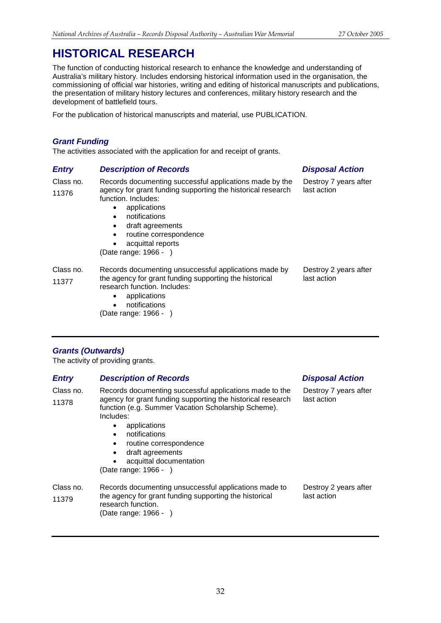The function of conducting historical research to enhance the knowledge and understanding of Australia's military history. Includes endorsing historical information used in the organisation, the commissioning of official war histories, writing and editing of historical manuscripts and publications, the presentation of military history lectures and conferences, military history research and the development of battlefield tours.

For the publication of historical manuscripts and material, use PUBLICATION.

## *Grant Funding*

The activities associated with the application for and receipt of grants.

## *Entry Description of Records Disposal Action*

Class no. 11376 Records documenting successful applications made by the agency for grant funding supporting the historical research function. Includes:

- applications
- notifications
- draft agreements
- routine correspondence
- acquittal reports

(Date range: 1966 - )

Class no. 11377 Records documenting unsuccessful applications made by the agency for grant funding supporting the historical research function. Includes: last action

- applications
- notifications
- (Date range: 1966 )

Destroy 7 years after last action

Destroy 2 years after

## *Grants (Outwards)*

The activity of providing grants.

| <b>Entry</b>       | <b>Description of Records</b>                                                                                                                                                                                                                                                                                                                                                          | <b>Disposal Action</b>               |
|--------------------|----------------------------------------------------------------------------------------------------------------------------------------------------------------------------------------------------------------------------------------------------------------------------------------------------------------------------------------------------------------------------------------|--------------------------------------|
| Class no.<br>11378 | Records documenting successful applications made to the<br>agency for grant funding supporting the historical research<br>function (e.g. Summer Vacation Scholarship Scheme).<br>Includes:<br>applications<br>٠<br>notifications<br>$\bullet$<br>routine correspondence<br>$\bullet$<br>draft agreements<br>$\bullet$<br>acquittal documentation<br>$\bullet$<br>(Date range: 1966 - ) | Destroy 7 years after<br>last action |
| Class no.<br>11379 | Records documenting unsuccessful applications made to<br>the agency for grant funding supporting the historical<br>research function.<br>(Date range: 1966 - )                                                                                                                                                                                                                         | Destroy 2 years after<br>last action |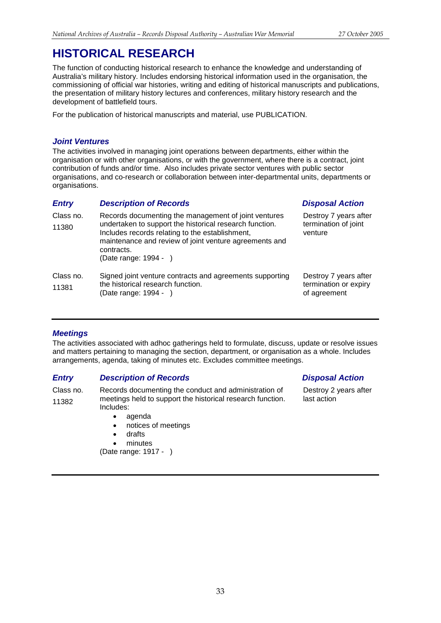The function of conducting historical research to enhance the knowledge and understanding of Australia's military history. Includes endorsing historical information used in the organisation, the commissioning of official war histories, writing and editing of historical manuscripts and publications, the presentation of military history lectures and conferences, military history research and the development of battlefield tours.

For the publication of historical manuscripts and material, use PUBLICATION.

## *Joint Ventures*

The activities involved in managing joint operations between departments, either within the organisation or with other organisations, or with the government, where there is a contract, joint contribution of funds and/or time. Also includes private sector ventures with public sector organisations, and co-research or collaboration between inter-departmental units, departments or organisations.

## *Entry Description of Records Disposal Action*

| Class no.<br>11380 | Records documenting the management of joint ventures<br>undertaken to support the historical research function.<br>Includes records relating to the establishment,<br>maintenance and review of joint venture agreements and<br>contracts.<br>(Date range: $1994 -$ ) | Destroy 7 years after<br>termination of joint<br>venture       |
|--------------------|-----------------------------------------------------------------------------------------------------------------------------------------------------------------------------------------------------------------------------------------------------------------------|----------------------------------------------------------------|
| Class no.<br>11381 | Signed joint venture contracts and agreements supporting<br>the historical research function.<br>(Date range: 1994 - )                                                                                                                                                | Destroy 7 years after<br>termination or expiry<br>of agreement |

## *Meetings*

The activities associated with adhoc gatherings held to formulate, discuss, update or resolve issues and matters pertaining to managing the section, department, or organisation as a whole. Includes arrangements, agenda, taking of minutes etc. Excludes committee meetings.

## *Entry Description of Records Disposal Action*

Class no. 11382 Records documenting the conduct and administration of meetings held to support the historical research function. Includes:

- agenda
- notices of meetings
- drafts
- minutes

(Date range: 1917 - )

Destroy 2 years after last action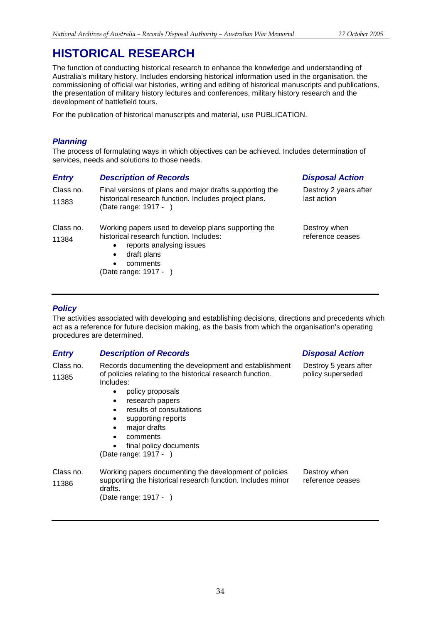Destroy 5 years after policy superseded

# **HISTORICAL RESEARCH**

The function of conducting historical research to enhance the knowledge and understanding of Australia's military history. Includes endorsing historical information used in the organisation, the commissioning of official war histories, writing and editing of historical manuscripts and publications, the presentation of military history lectures and conferences, military history research and the development of battlefield tours.

For the publication of historical manuscripts and material, use PUBLICATION.

## *Planning*

The process of formulating ways in which objectives can be achieved. Includes determination of services, needs and solutions to those needs.

| <b>Entry</b>       | <b>Description of Records</b>                                                                                                                                                                | <b>Disposal Action</b>               |
|--------------------|----------------------------------------------------------------------------------------------------------------------------------------------------------------------------------------------|--------------------------------------|
| Class no.<br>11383 | Final versions of plans and major drafts supporting the<br>historical research function. Includes project plans.<br>(Date range: 1917 - )                                                    | Destroy 2 years after<br>last action |
| Class no.<br>11384 | Working papers used to develop plans supporting the<br>historical research function. Includes:<br>reports analysing issues<br>$\bullet$<br>draft plans<br>$\bullet$<br>comments<br>$\bullet$ | Destroy when<br>reference ceases     |
|                    | (Date range: 1917 -                                                                                                                                                                          |                                      |

## *Policy*

The activities associated with developing and establishing decisions, directions and precedents which act as a reference for future decision making, as the basis from which the organisation's operating procedures are determined.

## *Entry Description of Records Disposal Action*

Class no. 11385 Records documenting the development and establishment of policies relating to the historical research function. Includes:

- policy proposals
- research papers
- results of consultations
- supporting reports
- major drafts
- comments
- final policy documents

(Date range: 1917 - )

```
Class no.
11386
              Working papers documenting the development of policies 
              supporting the historical research function. Includes minor 
              drafts.
              (Date range: 1917 - )
                                                                           Destroy when 
                                                                           reference ceases
```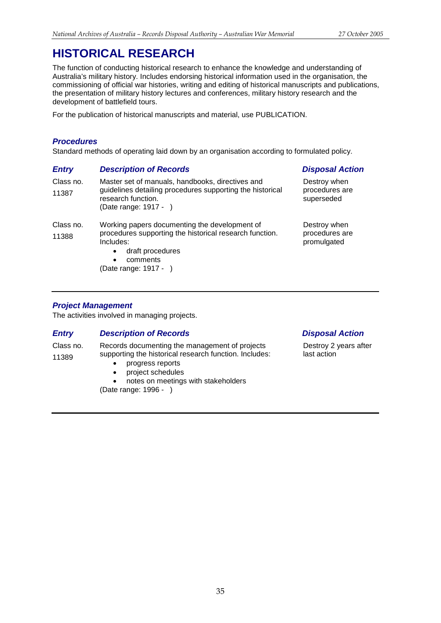The function of conducting historical research to enhance the knowledge and understanding of Australia's military history. Includes endorsing historical information used in the organisation, the commissioning of official war histories, writing and editing of historical manuscripts and publications, the presentation of military history lectures and conferences, military history research and the development of battlefield tours.

For the publication of historical manuscripts and material, use PUBLICATION.

## *Procedures*

Standard methods of operating laid down by an organisation according to formulated policy.

| <b>Entry</b>       | <b>Description of Records</b>                                                                                                                                                             | <b>Disposal Action</b>                        |
|--------------------|-------------------------------------------------------------------------------------------------------------------------------------------------------------------------------------------|-----------------------------------------------|
| Class no.<br>11387 | Master set of manuals, handbooks, directives and<br>guidelines detailing procedures supporting the historical<br>research function.<br>(Date range: 1917 - )                              | Destroy when<br>procedures are<br>superseded  |
| Class no.<br>11388 | Working papers documenting the development of<br>procedures supporting the historical research function.<br>Includes:<br>draft procedures<br>comments<br>$\bullet$<br>(Date range: 1917 - | Destroy when<br>procedures are<br>promulgated |

## *Project Management*

The activities involved in managing projects.

## *Entry Description of Records Disposal Action*

Class no. 11389 Records documenting the management of projects supporting the historical research function. Includes:

- progress reports
- project schedules

• notes on meetings with stakeholders (Date range: 1996 - )

Destroy 2 years after last action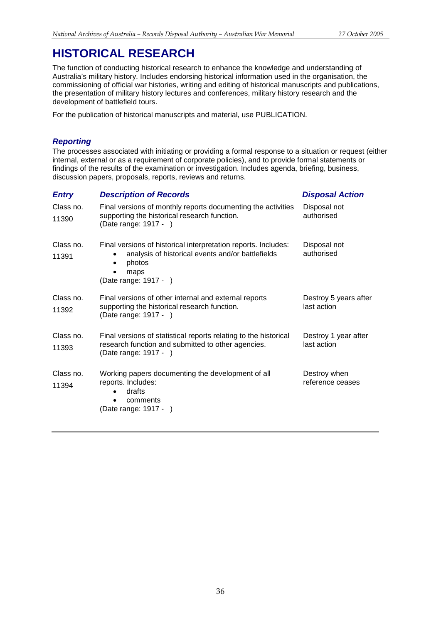The function of conducting historical research to enhance the knowledge and understanding of Australia's military history. Includes endorsing historical information used in the organisation, the commissioning of official war histories, writing and editing of historical manuscripts and publications, the presentation of military history lectures and conferences, military history research and the development of battlefield tours.

For the publication of historical manuscripts and material, use PUBLICATION.

## *Reporting*

The processes associated with initiating or providing a formal response to a situation or request (either internal, external or as a requirement of corporate policies), and to provide formal statements or findings of the results of the examination or investigation. Includes agenda, briefing, business, discussion papers, proposals, reports, reviews and returns.

| <b>Description of Records</b>                                                                                                                                  | <b>Disposal Action</b>               |
|----------------------------------------------------------------------------------------------------------------------------------------------------------------|--------------------------------------|
| Final versions of monthly reports documenting the activities<br>supporting the historical research function.<br>(Date range: 1917 - )                          | Disposal not<br>authorised           |
| Final versions of historical interpretation reports. Includes:<br>analysis of historical events and/or battlefields<br>photos<br>maps<br>(Date range: 1917 - ) | Disposal not<br>authorised           |
| Final versions of other internal and external reports<br>supporting the historical research function.<br>(Date range: 1917 - )                                 | Destroy 5 years after<br>last action |
| Final versions of statistical reports relating to the historical<br>research function and submitted to other agencies.<br>(Date range: 1917 - )                | Destroy 1 year after<br>last action  |
| Working papers documenting the development of all<br>reports. Includes:<br>drafts<br>comments<br>٠<br>(Date range: 1917 - )                                    | Destroy when<br>reference ceases     |
|                                                                                                                                                                |                                      |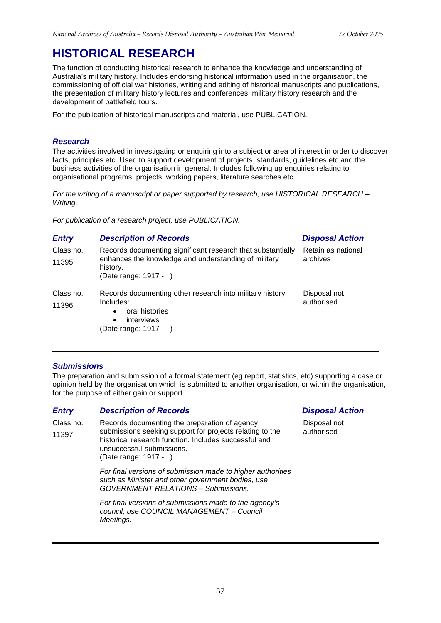The function of conducting historical research to enhance the knowledge and understanding of Australia's military history. Includes endorsing historical information used in the organisation, the commissioning of official war histories, writing and editing of historical manuscripts and publications, the presentation of military history lectures and conferences, military history research and the development of battlefield tours.

For the publication of historical manuscripts and material, use PUBLICATION.

## *Research*

The activities involved in investigating or enquiring into a subject or area of interest in order to discover facts, principles etc. Used to support development of projects, standards, guidelines etc and the business activities of the organisation in general. Includes following up enquiries relating to organisational programs, projects, working papers, literature searches etc.

*For the writing of a manuscript or paper supported by research, use HISTORICAL RESEARCH – Writing.*

*For publication of a research project, use PUBLICATION.*

## *Entry Description of Records Disposal Action*

| Class no.<br>11395 | Records documenting significant research that substantially<br>enhances the knowledge and understanding of military<br>history.<br>(Date range: 1917 - ) | Retain as national<br>archives |
|--------------------|----------------------------------------------------------------------------------------------------------------------------------------------------------|--------------------------------|
| Class no.<br>11396 | Records documenting other research into military history.<br>Includes:<br>oral histories<br>$\bullet$<br>interviews<br>$\bullet$<br>(Date range: 1917 -  | Disposal not<br>authorised     |

## *Submissions*

The preparation and submission of a formal statement (eg report, statistics, etc) supporting a case or opinion held by the organisation which is submitted to another organisation, or within the organisation, for the purpose of either gain or support.

## *Entry Description of Records Disposal Action*

Class no. 11397 Records documenting the preparation of agency submissions seeking support for projects relating to the historical research function. Includes successful and unsuccessful submissions. (Date range: 1917 - )

> *For final versions of submission made to higher authorities such as Minister and other government bodies, use GOVERNMENT RELATIONS – Submissions.*

*For final versions of submissions made to the agency's council, use COUNCIL MANAGEMENT – Council Meetings.*

Disposal not authorised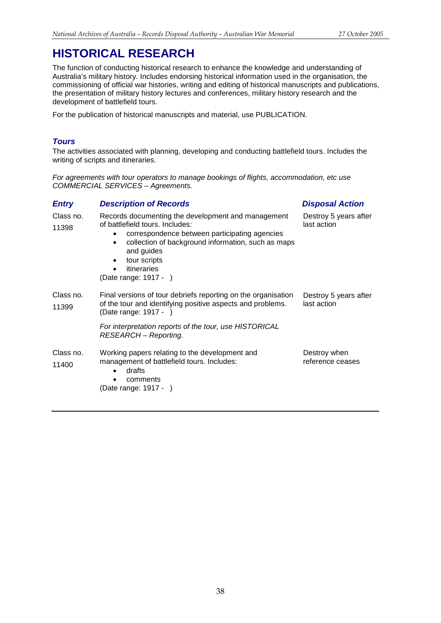The function of conducting historical research to enhance the knowledge and understanding of Australia's military history. Includes endorsing historical information used in the organisation, the commissioning of official war histories, writing and editing of historical manuscripts and publications, the presentation of military history lectures and conferences, military history research and the development of battlefield tours.

For the publication of historical manuscripts and material, use PUBLICATION.

## *Tours*

The activities associated with planning, developing and conducting battlefield tours. Includes the writing of scripts and itineraries.

*For agreements with tour operators to manage bookings of flights, accommodation, etc use COMMERCIAL SERVICES – Agreements.*

## *Entry Description of Records Disposal Action*

| Class no.<br>11398 | Records documenting the development and management<br>of battlefield tours. Includes:<br>correspondence between participating agencies<br>$\bullet$<br>collection of background information, such as maps<br>٠<br>and guides<br>tour scripts<br>$\bullet$<br>itineraries<br>$\bullet$<br>(Date range: 1917 - ) | Destroy 5 years after<br>last action |
|--------------------|----------------------------------------------------------------------------------------------------------------------------------------------------------------------------------------------------------------------------------------------------------------------------------------------------------------|--------------------------------------|
| Class no.<br>11399 | Final versions of tour debriefs reporting on the organisation<br>of the tour and identifying positive aspects and problems.<br>(Date range: 1917 -                                                                                                                                                             | Destroy 5 years after<br>last action |
|                    | For interpretation reports of the tour, use HISTORICAL<br>RESEARCH - Reporting.                                                                                                                                                                                                                                |                                      |
| Class no.<br>11400 | Working papers relating to the development and<br>management of battlefield tours. Includes:<br>drafts<br>$\bullet$<br>comments<br>(Date range: 1917 - )                                                                                                                                                       | Destroy when<br>reference ceases     |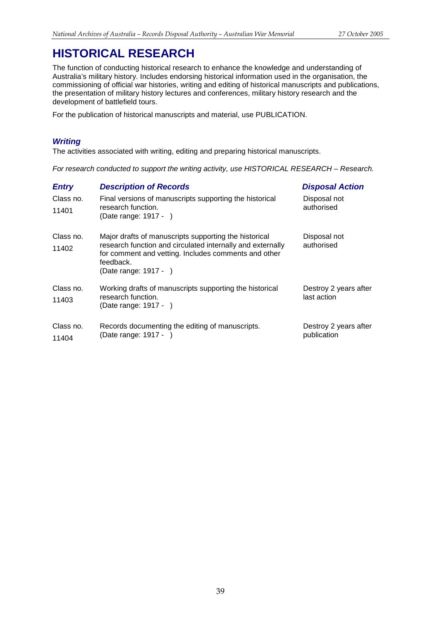The function of conducting historical research to enhance the knowledge and understanding of Australia's military history. Includes endorsing historical information used in the organisation, the commissioning of official war histories, writing and editing of historical manuscripts and publications, the presentation of military history lectures and conferences, military history research and the development of battlefield tours.

For the publication of historical manuscripts and material, use PUBLICATION.

## *Writing*

The activities associated with writing, editing and preparing historical manuscripts.

*For research conducted to support the writing activity, use HISTORICAL RESEARCH – Research.*

| <b>Entry</b>       | <b>Description of Records</b>                                                                                                                                                                                     | <b>Disposal Action</b>               |
|--------------------|-------------------------------------------------------------------------------------------------------------------------------------------------------------------------------------------------------------------|--------------------------------------|
| Class no.<br>11401 | Final versions of manuscripts supporting the historical<br>research function.<br>(Date range: 1917 - )                                                                                                            | Disposal not<br>authorised           |
| Class no.<br>11402 | Major drafts of manuscripts supporting the historical<br>research function and circulated internally and externally<br>for comment and vetting. Includes comments and other<br>feedback.<br>(Date range: 1917 - ) | Disposal not<br>authorised           |
| Class no.<br>11403 | Working drafts of manuscripts supporting the historical<br>research function.<br>(Date range: 1917 - )                                                                                                            | Destroy 2 years after<br>last action |
| Class no.<br>11404 | Records documenting the editing of manuscripts.<br>(Date range: 1917 -                                                                                                                                            | Destroy 2 years after<br>publication |